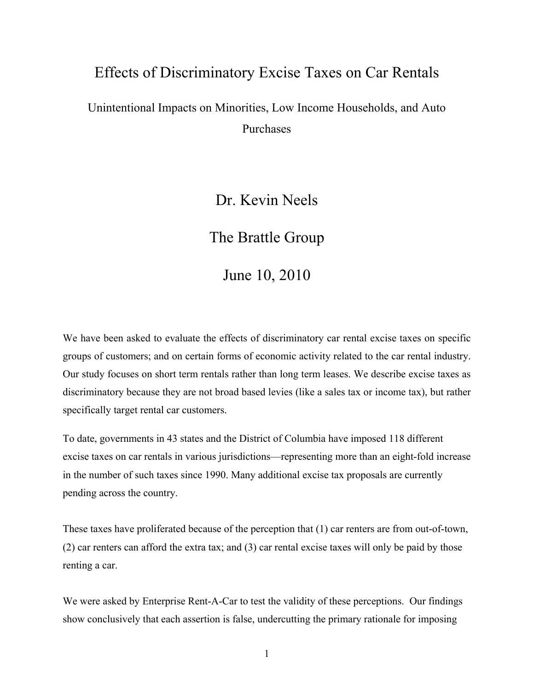# Effects of Discriminatory Excise Taxes on Car Rentals

# Unintentional Impacts on Minorities, Low Income Households, and Auto Purchases

## Dr. Kevin Neels

## The Brattle Group

June 10, 2010

We have been asked to evaluate the effects of discriminatory car rental excise taxes on specific groups of customers; and on certain forms of economic activity related to the car rental industry. Our study focuses on short term rentals rather than long term leases. We describe excise taxes as discriminatory because they are not broad based levies (like a sales tax or income tax), but rather specifically target rental car customers.

To date, governments in 43 states and the District of Columbia have imposed 118 different excise taxes on car rentals in various jurisdictions—representing more than an eight-fold increase in the number of such taxes since 1990. Many additional excise tax proposals are currently pending across the country.

These taxes have proliferated because of the perception that (1) car renters are from out-of-town, (2) car renters can afford the extra tax; and (3) car rental excise taxes will only be paid by those renting a car.

We were asked by Enterprise Rent-A-Car to test the validity of these perceptions. Our findings show conclusively that each assertion is false, undercutting the primary rationale for imposing

1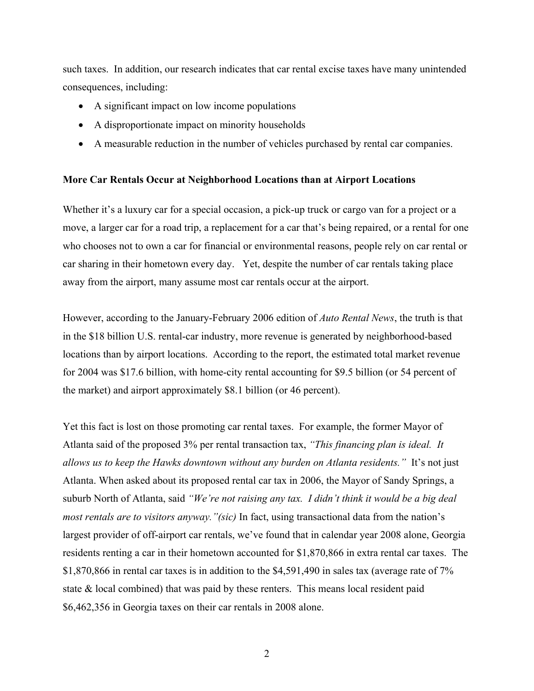such taxes. In addition, our research indicates that car rental excise taxes have many unintended consequences, including:

- A significant impact on low income populations
- A disproportionate impact on minority households
- A measurable reduction in the number of vehicles purchased by rental car companies.

#### **More Car Rentals Occur at Neighborhood Locations than at Airport Locations**

Whether it's a luxury car for a special occasion, a pick-up truck or cargo van for a project or a move, a larger car for a road trip, a replacement for a car that's being repaired, or a rental for one who chooses not to own a car for financial or environmental reasons, people rely on car rental or car sharing in their hometown every day. Yet, despite the number of car rentals taking place away from the airport, many assume most car rentals occur at the airport.

However, according to the January-February 2006 edition of *Auto Rental News*, the truth is that in the \$18 billion U.S. rental-car industry, more revenue is generated by neighborhood-based locations than by airport locations. According to the report, the estimated total market revenue for 2004 was \$17.6 billion, with home-city rental accounting for \$9.5 billion (or 54 percent of the market) and airport approximately \$8.1 billion (or 46 percent).

Yet this fact is lost on those promoting car rental taxes. For example, the former Mayor of Atlanta said of the proposed 3% per rental transaction tax, *"This financing plan is ideal. It allows us to keep the Hawks downtown without any burden on Atlanta residents."* It's not just Atlanta. When asked about its proposed rental car tax in 2006, the Mayor of Sandy Springs, a suburb North of Atlanta, said *"We're not raising any tax. I didn't think it would be a big deal most rentals are to visitors anyway."(sic)* In fact, using transactional data from the nation's largest provider of off-airport car rentals, we've found that in calendar year 2008 alone, Georgia residents renting a car in their hometown accounted for \$1,870,866 in extra rental car taxes. The \$1,870,866 in rental car taxes is in addition to the \$4,591,490 in sales tax (average rate of 7% state  $\&$  local combined) that was paid by these renters. This means local resident paid \$6,462,356 in Georgia taxes on their car rentals in 2008 alone.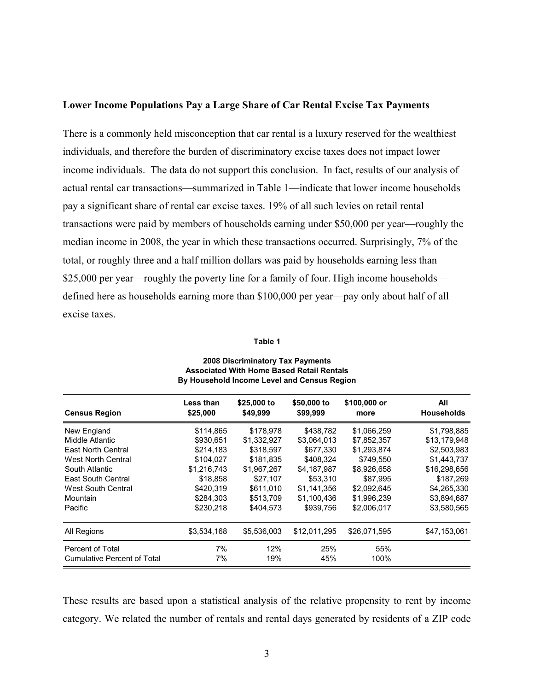#### **Lower Income Populations Pay a Large Share of Car Rental Excise Tax Payments**

There is a commonly held misconception that car rental is a luxury reserved for the wealthiest individuals, and therefore the burden of discriminatory excise taxes does not impact lower income individuals. The data do not support this conclusion. In fact, results of our analysis of actual rental car transactions—summarized in Table 1—indicate that lower income households pay a significant share of rental car excise taxes. 19% of all such levies on retail rental transactions were paid by members of households earning under \$50,000 per year—roughly the median income in 2008, the year in which these transactions occurred. Surprisingly, 7% of the total, or roughly three and a half million dollars was paid by households earning less than \$25,000 per year—roughly the poverty line for a family of four. High income households defined here as households earning more than \$100,000 per year—pay only about half of all excise taxes.

#### **Table 1**

| <b>Census Region</b>               | <b>Less than</b><br>\$25,000 | \$25,000 to<br>\$49.999 | \$50,000 to<br>\$99,999 | \$100,000 or<br>more | All<br><b>Households</b> |
|------------------------------------|------------------------------|-------------------------|-------------------------|----------------------|--------------------------|
| New England                        | \$114,865                    | \$178,978               | \$438,782               | \$1,066,259          | \$1,798,885              |
| Middle Atlantic                    | \$930,651                    | \$1,332,927             | \$3,064,013             | \$7,852,357          | \$13,179,948             |
| East North Central                 | \$214,183                    | \$318,597               | \$677,330               | \$1,293,874          | \$2,503,983              |
| West North Central                 | \$104.027                    | \$181.835               | \$408.324               | \$749.550            | \$1,443,737              |
| South Atlantic                     | \$1,216,743                  | \$1.967.267             | \$4.187.987             | \$8.926.658          | \$16,298,656             |
| East South Central                 | \$18,858                     | \$27,107                | \$53,310                | \$87,995             | \$187,269                |
| West South Central                 | \$420,319                    | \$611,010               | \$1,141,356             | \$2,092,645          | \$4,265,330              |
| Mountain                           | \$284.303                    | \$513.709               | \$1.100.436             | \$1.996.239          | \$3,894,687              |
| Pacific                            | \$230.218                    | \$404.573               | \$939.756               | \$2,006,017          | \$3,580,565              |
| All Regions                        | \$3,534,168                  | \$5.536.003             | \$12.011.295            | \$26.071.595         | \$47,153,061             |
| Percent of Total                   | 7%                           | 12%                     | 25%                     | 55%                  |                          |
| <b>Cumulative Percent of Total</b> | 7%                           | 19%                     | 45%                     | 100%                 |                          |

#### **2008 Discriminatory Tax Payments Associated With Home Based Retail Rentals By Household Income Level and Census Region**

These results are based upon a statistical analysis of the relative propensity to rent by income category. We related the number of rentals and rental days generated by residents of a ZIP code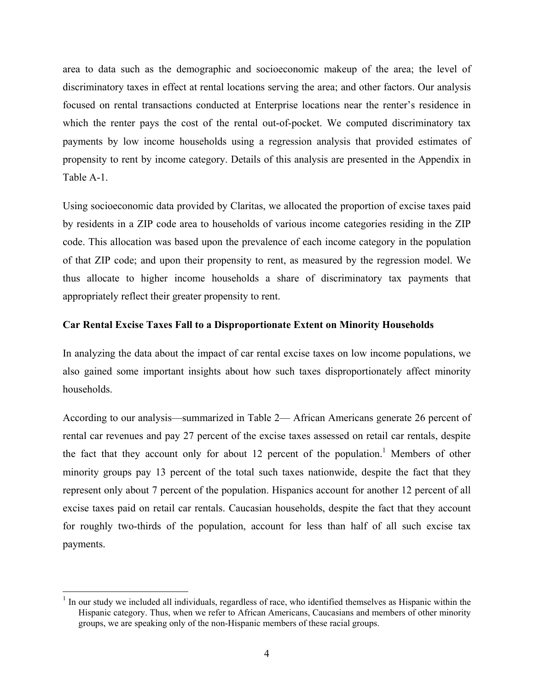area to data such as the demographic and socioeconomic makeup of the area; the level of discriminatory taxes in effect at rental locations serving the area; and other factors. Our analysis focused on rental transactions conducted at Enterprise locations near the renter's residence in which the renter pays the cost of the rental out-of-pocket. We computed discriminatory tax payments by low income households using a regression analysis that provided estimates of propensity to rent by income category. Details of this analysis are presented in the Appendix in Table A-1.

Using socioeconomic data provided by Claritas, we allocated the proportion of excise taxes paid by residents in a ZIP code area to households of various income categories residing in the ZIP code. This allocation was based upon the prevalence of each income category in the population of that ZIP code; and upon their propensity to rent, as measured by the regression model. We thus allocate to higher income households a share of discriminatory tax payments that appropriately reflect their greater propensity to rent.

## **Car Rental Excise Taxes Fall to a Disproportionate Extent on Minority Households**

In analyzing the data about the impact of car rental excise taxes on low income populations, we also gained some important insights about how such taxes disproportionately affect minority households.

According to our analysis—summarized in Table 2— African Americans generate 26 percent of rental car revenues and pay 27 percent of the excise taxes assessed on retail car rentals, despite the fact that they account only for about 12 percent of the population.<sup>1</sup> Members of other minority groups pay 13 percent of the total such taxes nationwide, despite the fact that they represent only about 7 percent of the population. Hispanics account for another 12 percent of all excise taxes paid on retail car rentals. Caucasian households, despite the fact that they account for roughly two-thirds of the population, account for less than half of all such excise tax payments.

 $\overline{a}$  $<sup>1</sup>$  In our study we included all individuals, regardless of race, who identified themselves as Hispanic within the</sup> Hispanic category. Thus, when we refer to African Americans, Caucasians and members of other minority groups, we are speaking only of the non-Hispanic members of these racial groups.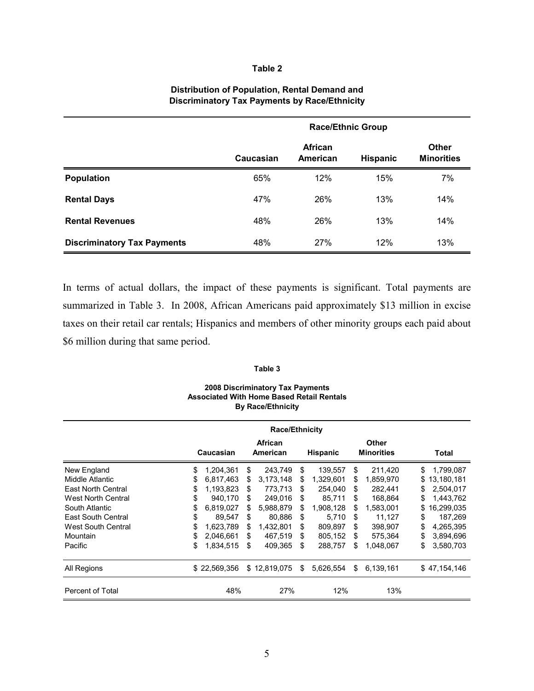#### **Table 2**

#### **Distribution of Population, Rental Demand and Discriminatory Tax Payments by Race/Ethnicity**

|                                    | <b>Race/Ethnic Group</b> |                     |                 |                                   |  |
|------------------------------------|--------------------------|---------------------|-----------------|-----------------------------------|--|
|                                    | Caucasian                | African<br>American | <b>Hispanic</b> | <b>Other</b><br><b>Minorities</b> |  |
| <b>Population</b>                  | 65%                      | 12%                 | 15%             | 7%                                |  |
| <b>Rental Days</b>                 | 47%                      | 26%                 | 13%             | 14%                               |  |
| <b>Rental Revenues</b>             | 48%                      | 26%                 | 13%             | 14%                               |  |
| <b>Discriminatory Tax Payments</b> | 48%                      | 27%                 | 12%             | 13%                               |  |

In terms of actual dollars, the impact of these payments is significant. Total payments are summarized in Table 3. In 2008, African Americans paid approximately \$13 million in excise taxes on their retail car rentals; Hispanics and members of other minority groups each paid about \$6 million during that same period.

#### **Table 3**

#### **2008 Discriminatory Tax Payments Associated With Home Based Retail Rentals By Race/Ethnicity**

|                           | <b>Race/Ethnicity</b> |              |    |                     |    |                 |    |                            |    |              |
|---------------------------|-----------------------|--------------|----|---------------------|----|-----------------|----|----------------------------|----|--------------|
|                           |                       | Caucasian    |    | African<br>American |    | <b>Hispanic</b> |    | Other<br><b>Minorities</b> |    | Total        |
| New England               | \$                    | 1,204,361    | \$ | 243,749             | S  | 139,557         | \$ | 211,420                    | \$ | 1,799,087    |
| Middle Atlantic           | \$                    | 6,817,463    | S  | 3,173,148           | \$ | 1,329,601       | S  | 1,859,970                  | \$ | 13,180,181   |
| <b>East North Central</b> | \$                    | 1,193,823    | S  | 773,713             | \$ | 254,040         | \$ | 282,441                    | S  | 2,504,017    |
| West North Central        | \$                    | 940,170      | S  | 249.016             | \$ | 85.711          | \$ | 168.864                    | \$ | 1.443.762    |
| South Atlantic            | \$                    | 6,819,027    | \$ | 5,988,879           | \$ | 1,908,128       | S  | 1,583,001                  | \$ | 16,299,035   |
| East South Central        | \$                    | 89.547       | \$ | 80.886              | \$ | 5.710           | \$ | 11,127                     | \$ | 187.269      |
| West South Central        | \$                    | 1.623.789    | \$ | 1.432.801           | \$ | 809.897         | \$ | 398.907                    | \$ | 4.265.395    |
| Mountain                  | S                     | 2.046.661    | S  | 467.519             | \$ | 805.152         | \$ | 575.364                    | \$ | 3,894,696    |
| Pacific                   | \$                    | 1,834,515    | \$ | 409,365             | \$ | 288,757         | \$ | 1,048,067                  | \$ | 3,580,703    |
| All Regions               |                       | \$22,569,356 |    | \$12,819,075        | S  | 5,626,554       | \$ | 6,139,161                  |    | \$47,154,146 |
| Percent of Total          |                       | 48%          |    | 27%                 |    | 12%             |    | 13%                        |    |              |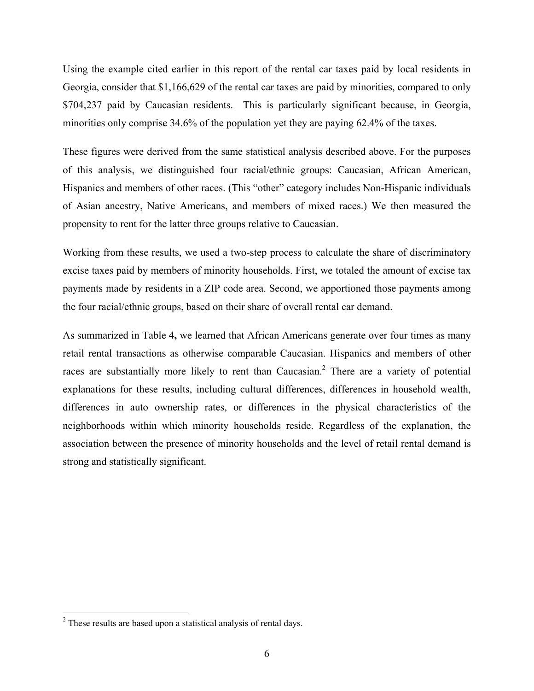Using the example cited earlier in this report of the rental car taxes paid by local residents in Georgia, consider that \$1,166,629 of the rental car taxes are paid by minorities, compared to only \$704,237 paid by Caucasian residents. This is particularly significant because, in Georgia, minorities only comprise 34.6% of the population yet they are paying 62.4% of the taxes.

These figures were derived from the same statistical analysis described above. For the purposes of this analysis, we distinguished four racial/ethnic groups: Caucasian, African American, Hispanics and members of other races. (This "other" category includes Non-Hispanic individuals of Asian ancestry, Native Americans, and members of mixed races.) We then measured the propensity to rent for the latter three groups relative to Caucasian.

Working from these results, we used a two-step process to calculate the share of discriminatory excise taxes paid by members of minority households. First, we totaled the amount of excise tax payments made by residents in a ZIP code area. Second, we apportioned those payments among the four racial/ethnic groups, based on their share of overall rental car demand.

As summarized in Table 4**,** we learned that African Americans generate over four times as many retail rental transactions as otherwise comparable Caucasian. Hispanics and members of other races are substantially more likely to rent than Caucasian.<sup>2</sup> There are a variety of potential explanations for these results, including cultural differences, differences in household wealth, differences in auto ownership rates, or differences in the physical characteristics of the neighborhoods within which minority households reside. Regardless of the explanation, the association between the presence of minority households and the level of retail rental demand is strong and statistically significant.

 $2<sup>2</sup>$  These results are based upon a statistical analysis of rental days.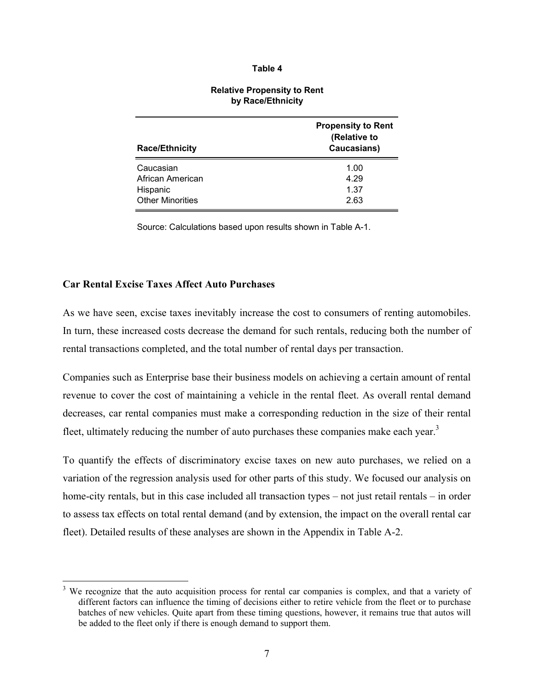#### **Table 4**

| <b>Race/Ethnicity</b>   | <b>Propensity to Rent</b><br>(Relative to<br>Caucasians) |
|-------------------------|----------------------------------------------------------|
| Caucasian               | 1.00                                                     |
| African American        | 4.29                                                     |
| Hispanic                | 1.37                                                     |
| <b>Other Minorities</b> | 2.63                                                     |

#### **Relative Propensity to Rent by Race/Ethnicity**

Source: Calculations based upon results shown in Table A-1.

### **Car Rental Excise Taxes Affect Auto Purchases**

<u>.</u>

As we have seen, excise taxes inevitably increase the cost to consumers of renting automobiles. In turn, these increased costs decrease the demand for such rentals, reducing both the number of rental transactions completed, and the total number of rental days per transaction.

Companies such as Enterprise base their business models on achieving a certain amount of rental revenue to cover the cost of maintaining a vehicle in the rental fleet. As overall rental demand decreases, car rental companies must make a corresponding reduction in the size of their rental fleet, ultimately reducing the number of auto purchases these companies make each year.<sup>3</sup>

To quantify the effects of discriminatory excise taxes on new auto purchases, we relied on a variation of the regression analysis used for other parts of this study. We focused our analysis on home-city rentals, but in this case included all transaction types – not just retail rentals – in order to assess tax effects on total rental demand (and by extension, the impact on the overall rental car fleet). Detailed results of these analyses are shown in the Appendix in Table A-2.

<sup>&</sup>lt;sup>3</sup> We recognize that the auto acquisition process for rental car companies is complex, and that a variety of different factors can influence the timing of decisions either to retire vehicle from the fleet or to purchase batches of new vehicles. Quite apart from these timing questions, however, it remains true that autos will be added to the fleet only if there is enough demand to support them.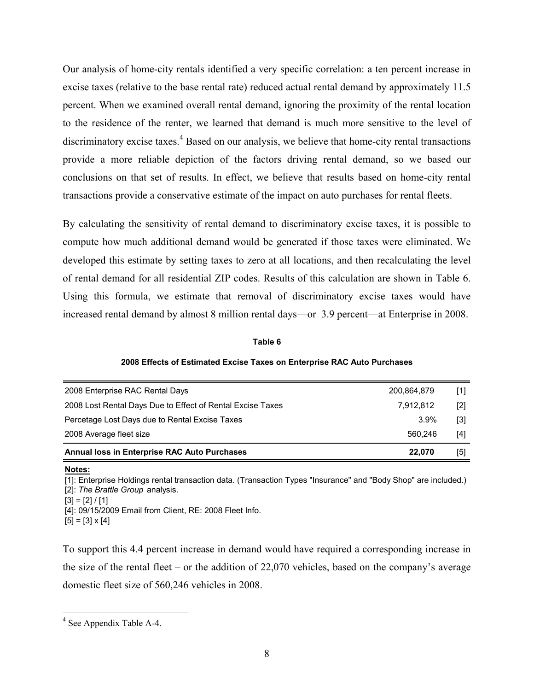Our analysis of home-city rentals identified a very specific correlation: a ten percent increase in excise taxes (relative to the base rental rate) reduced actual rental demand by approximately 11.5 percent. When we examined overall rental demand, ignoring the proximity of the rental location to the residence of the renter, we learned that demand is much more sensitive to the level of discriminatory excise taxes.<sup>4</sup> Based on our analysis, we believe that home-city rental transactions provide a more reliable depiction of the factors driving rental demand, so we based our conclusions on that set of results. In effect, we believe that results based on home-city rental transactions provide a conservative estimate of the impact on auto purchases for rental fleets.

By calculating the sensitivity of rental demand to discriminatory excise taxes, it is possible to compute how much additional demand would be generated if those taxes were eliminated. We developed this estimate by setting taxes to zero at all locations, and then recalculating the level of rental demand for all residential ZIP codes. Results of this calculation are shown in Table 6. Using this formula, we estimate that removal of discriminatory excise taxes would have increased rental demand by almost 8 million rental days—or 3.9 percent—at Enterprise in 2008.

#### **Table 6**

#### **2008 Effects of Estimated Excise Taxes on Enterprise RAC Auto Purchases**

| 2008 Enterprise RAC Rental Days                            | 200,864,879 | [1] |
|------------------------------------------------------------|-------------|-----|
| 2008 Lost Rental Days Due to Effect of Rental Excise Taxes | 7.912.812   | [2] |
| Percetage Lost Days due to Rental Excise Taxes             | $3.9\%$     | [3] |
| 2008 Average fleet size                                    | 560.246     | [4] |
| Annual loss in Enterprise RAC Auto Purchases               | 22,070      | [5] |

**Notes:**

1

[1]: Enterprise Holdings rental transaction data. (Transaction Types "Insurance" and "Body Shop" are included.) [2]: *The Brattle Group* analysis.  $[3] = [2] / [1]$ 

[4]: 09/15/2009 Email from Client, RE: 2008 Fleet Info.  $[5] = [3] \times [4]$ 

To support this 4.4 percent increase in demand would have required a corresponding increase in the size of the rental fleet – or the addition of 22,070 vehicles, based on the company's average domestic fleet size of 560,246 vehicles in 2008.

<sup>&</sup>lt;sup>4</sup> See Appendix Table A-4.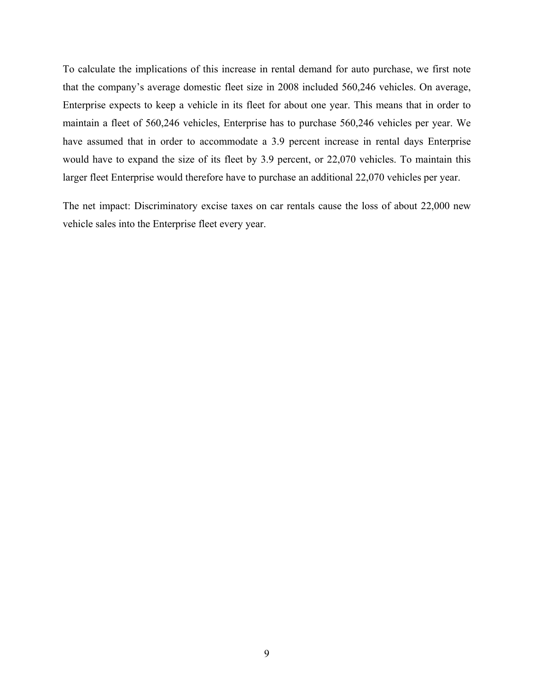To calculate the implications of this increase in rental demand for auto purchase, we first note that the company's average domestic fleet size in 2008 included 560,246 vehicles. On average, Enterprise expects to keep a vehicle in its fleet for about one year. This means that in order to maintain a fleet of 560,246 vehicles, Enterprise has to purchase 560,246 vehicles per year. We have assumed that in order to accommodate a 3.9 percent increase in rental days Enterprise would have to expand the size of its fleet by 3.9 percent, or 22,070 vehicles. To maintain this larger fleet Enterprise would therefore have to purchase an additional 22,070 vehicles per year.

The net impact: Discriminatory excise taxes on car rentals cause the loss of about 22,000 new vehicle sales into the Enterprise fleet every year.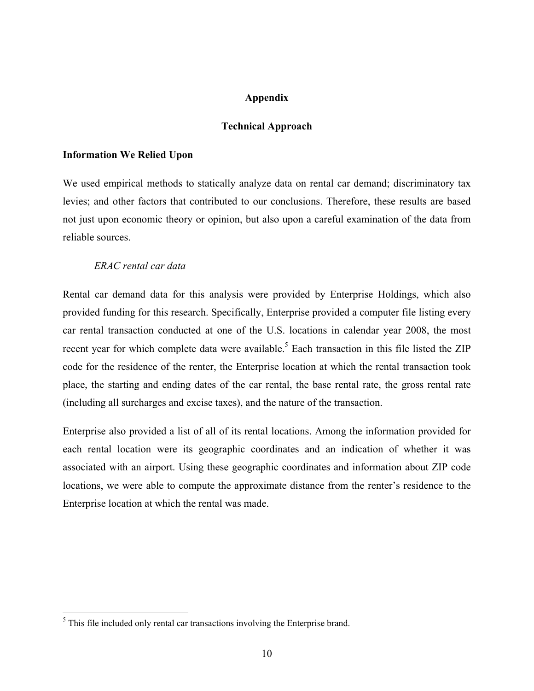## **Appendix**

### **Technical Approach**

#### **Information We Relied Upon**

We used empirical methods to statically analyze data on rental car demand; discriminatory tax levies; and other factors that contributed to our conclusions. Therefore, these results are based not just upon economic theory or opinion, but also upon a careful examination of the data from reliable sources.

## *ERAC rental car data*

Rental car demand data for this analysis were provided by Enterprise Holdings, which also provided funding for this research. Specifically, Enterprise provided a computer file listing every car rental transaction conducted at one of the U.S. locations in calendar year 2008, the most recent year for which complete data were available.<sup>5</sup> Each transaction in this file listed the ZIP code for the residence of the renter, the Enterprise location at which the rental transaction took place, the starting and ending dates of the car rental, the base rental rate, the gross rental rate (including all surcharges and excise taxes), and the nature of the transaction.

Enterprise also provided a list of all of its rental locations. Among the information provided for each rental location were its geographic coordinates and an indication of whether it was associated with an airport. Using these geographic coordinates and information about ZIP code locations, we were able to compute the approximate distance from the renter's residence to the Enterprise location at which the rental was made.

1

 $<sup>5</sup>$  This file included only rental car transactions involving the Enterprise brand.</sup>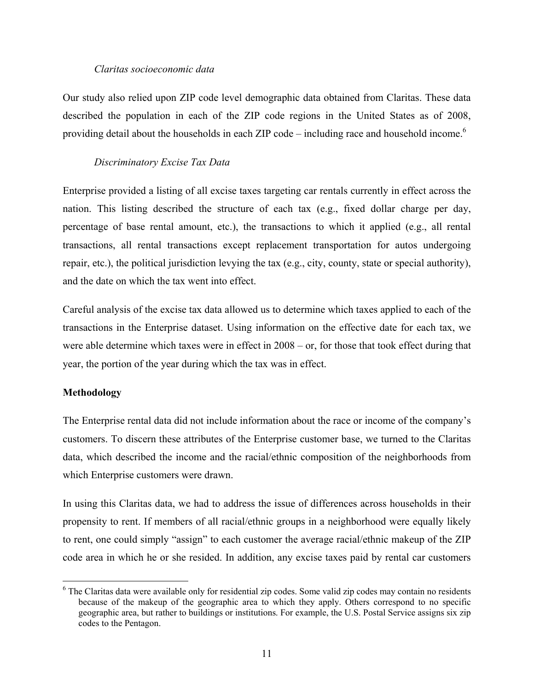### *Claritas socioeconomic data*

Our study also relied upon ZIP code level demographic data obtained from Claritas. These data described the population in each of the ZIP code regions in the United States as of 2008, providing detail about the households in each ZIP code – including race and household income.<sup>6</sup>

## *Discriminatory Excise Tax Data*

Enterprise provided a listing of all excise taxes targeting car rentals currently in effect across the nation. This listing described the structure of each tax (e.g., fixed dollar charge per day, percentage of base rental amount, etc.), the transactions to which it applied (e.g., all rental transactions, all rental transactions except replacement transportation for autos undergoing repair, etc.), the political jurisdiction levying the tax (e.g., city, county, state or special authority), and the date on which the tax went into effect.

Careful analysis of the excise tax data allowed us to determine which taxes applied to each of the transactions in the Enterprise dataset. Using information on the effective date for each tax, we were able determine which taxes were in effect in 2008 – or, for those that took effect during that year, the portion of the year during which the tax was in effect.

## **Methodology**

 $\overline{a}$ 

The Enterprise rental data did not include information about the race or income of the company's customers. To discern these attributes of the Enterprise customer base, we turned to the Claritas data, which described the income and the racial/ethnic composition of the neighborhoods from which Enterprise customers were drawn.

In using this Claritas data, we had to address the issue of differences across households in their propensity to rent. If members of all racial/ethnic groups in a neighborhood were equally likely to rent, one could simply "assign" to each customer the average racial/ethnic makeup of the ZIP code area in which he or she resided. In addition, any excise taxes paid by rental car customers

<sup>&</sup>lt;sup>6</sup> The Claritas data were available only for residential zip codes. Some valid zip codes may contain no residents because of the makeup of the geographic area to which they apply. Others correspond to no specific geographic area, but rather to buildings or institutions. For example, the U.S. Postal Service assigns six zip codes to the Pentagon.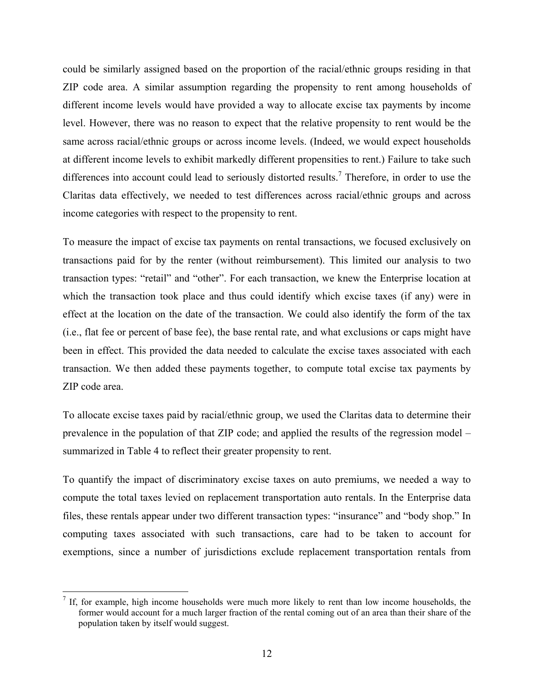could be similarly assigned based on the proportion of the racial/ethnic groups residing in that ZIP code area. A similar assumption regarding the propensity to rent among households of different income levels would have provided a way to allocate excise tax payments by income level. However, there was no reason to expect that the relative propensity to rent would be the same across racial/ethnic groups or across income levels. (Indeed, we would expect households at different income levels to exhibit markedly different propensities to rent.) Failure to take such differences into account could lead to seriously distorted results.<sup>7</sup> Therefore, in order to use the Claritas data effectively, we needed to test differences across racial/ethnic groups and across income categories with respect to the propensity to rent.

To measure the impact of excise tax payments on rental transactions, we focused exclusively on transactions paid for by the renter (without reimbursement). This limited our analysis to two transaction types: "retail" and "other". For each transaction, we knew the Enterprise location at which the transaction took place and thus could identify which excise taxes (if any) were in effect at the location on the date of the transaction. We could also identify the form of the tax (i.e., flat fee or percent of base fee), the base rental rate, and what exclusions or caps might have been in effect. This provided the data needed to calculate the excise taxes associated with each transaction. We then added these payments together, to compute total excise tax payments by ZIP code area.

To allocate excise taxes paid by racial/ethnic group, we used the Claritas data to determine their prevalence in the population of that ZIP code; and applied the results of the regression model – summarized in Table 4 to reflect their greater propensity to rent.

To quantify the impact of discriminatory excise taxes on auto premiums, we needed a way to compute the total taxes levied on replacement transportation auto rentals. In the Enterprise data files, these rentals appear under two different transaction types: "insurance" and "body shop." In computing taxes associated with such transactions, care had to be taken to account for exemptions, since a number of jurisdictions exclude replacement transportation rentals from

<sup>&</sup>lt;sup>7</sup> If, for example, high income households were much more likely to rent than low income households, the former would account for a much larger fraction of the rental coming out of an area than their share of the population taken by itself would suggest.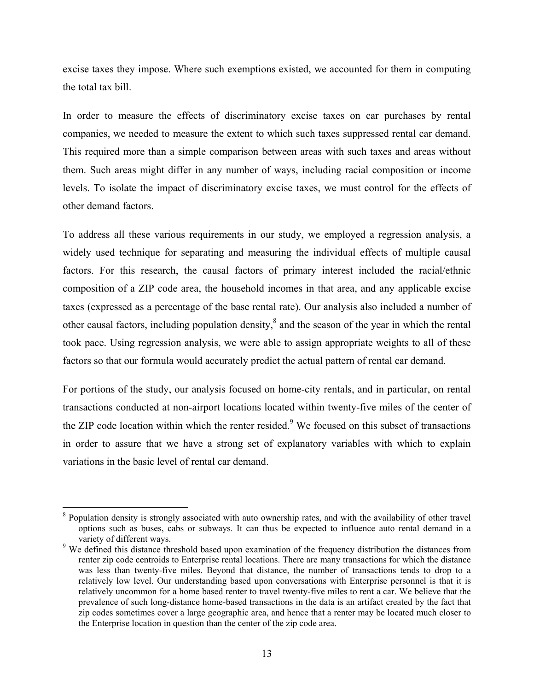excise taxes they impose. Where such exemptions existed, we accounted for them in computing the total tax bill.

In order to measure the effects of discriminatory excise taxes on car purchases by rental companies, we needed to measure the extent to which such taxes suppressed rental car demand. This required more than a simple comparison between areas with such taxes and areas without them. Such areas might differ in any number of ways, including racial composition or income levels. To isolate the impact of discriminatory excise taxes, we must control for the effects of other demand factors.

To address all these various requirements in our study, we employed a regression analysis, a widely used technique for separating and measuring the individual effects of multiple causal factors. For this research, the causal factors of primary interest included the racial/ethnic composition of a ZIP code area, the household incomes in that area, and any applicable excise taxes (expressed as a percentage of the base rental rate). Our analysis also included a number of other causal factors, including population density, $\delta$  and the season of the year in which the rental took pace. Using regression analysis, we were able to assign appropriate weights to all of these factors so that our formula would accurately predict the actual pattern of rental car demand.

For portions of the study, our analysis focused on home-city rentals, and in particular, on rental transactions conducted at non-airport locations located within twenty-five miles of the center of the ZIP code location within which the renter resided.<sup>9</sup> We focused on this subset of transactions in order to assure that we have a strong set of explanatory variables with which to explain variations in the basic level of rental car demand.

<sup>&</sup>lt;sup>8</sup> Population density is strongly associated with auto ownership rates, and with the availability of other travel options such as buses, cabs or subways. It can thus be expected to influence auto rental demand in a variety of different ways.

<sup>&</sup>lt;sup>9</sup> We defined this distance threshold based upon examination of the frequency distribution the distances from renter zip code centroids to Enterprise rental locations. There are many transactions for which the distance was less than twenty-five miles. Beyond that distance, the number of transactions tends to drop to a relatively low level. Our understanding based upon conversations with Enterprise personnel is that it is relatively uncommon for a home based renter to travel twenty-five miles to rent a car. We believe that the prevalence of such long-distance home-based transactions in the data is an artifact created by the fact that zip codes sometimes cover a large geographic area, and hence that a renter may be located much closer to the Enterprise location in question than the center of the zip code area.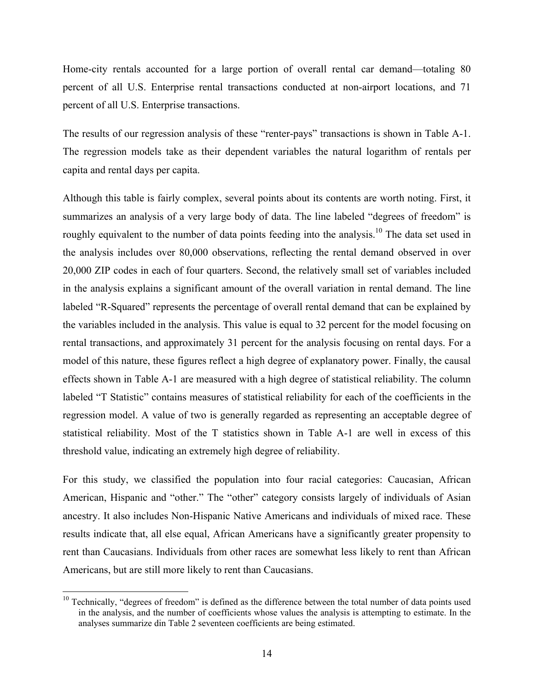Home-city rentals accounted for a large portion of overall rental car demand—totaling 80 percent of all U.S. Enterprise rental transactions conducted at non-airport locations, and 71 percent of all U.S. Enterprise transactions.

The results of our regression analysis of these "renter-pays" transactions is shown in Table A-1. The regression models take as their dependent variables the natural logarithm of rentals per capita and rental days per capita.

Although this table is fairly complex, several points about its contents are worth noting. First, it summarizes an analysis of a very large body of data. The line labeled "degrees of freedom" is roughly equivalent to the number of data points feeding into the analysis.<sup>10</sup> The data set used in the analysis includes over 80,000 observations, reflecting the rental demand observed in over 20,000 ZIP codes in each of four quarters. Second, the relatively small set of variables included in the analysis explains a significant amount of the overall variation in rental demand. The line labeled "R-Squared" represents the percentage of overall rental demand that can be explained by the variables included in the analysis. This value is equal to 32 percent for the model focusing on rental transactions, and approximately 31 percent for the analysis focusing on rental days. For a model of this nature, these figures reflect a high degree of explanatory power. Finally, the causal effects shown in Table A-1 are measured with a high degree of statistical reliability. The column labeled "T Statistic" contains measures of statistical reliability for each of the coefficients in the regression model. A value of two is generally regarded as representing an acceptable degree of statistical reliability. Most of the T statistics shown in Table A-1 are well in excess of this threshold value, indicating an extremely high degree of reliability.

For this study, we classified the population into four racial categories: Caucasian, African American, Hispanic and "other." The "other" category consists largely of individuals of Asian ancestry. It also includes Non-Hispanic Native Americans and individuals of mixed race. These results indicate that, all else equal, African Americans have a significantly greater propensity to rent than Caucasians. Individuals from other races are somewhat less likely to rent than African Americans, but are still more likely to rent than Caucasians.

 $10$  Technically, "degrees of freedom" is defined as the difference between the total number of data points used in the analysis, and the number of coefficients whose values the analysis is attempting to estimate. In the analyses summarize din Table 2 seventeen coefficients are being estimated.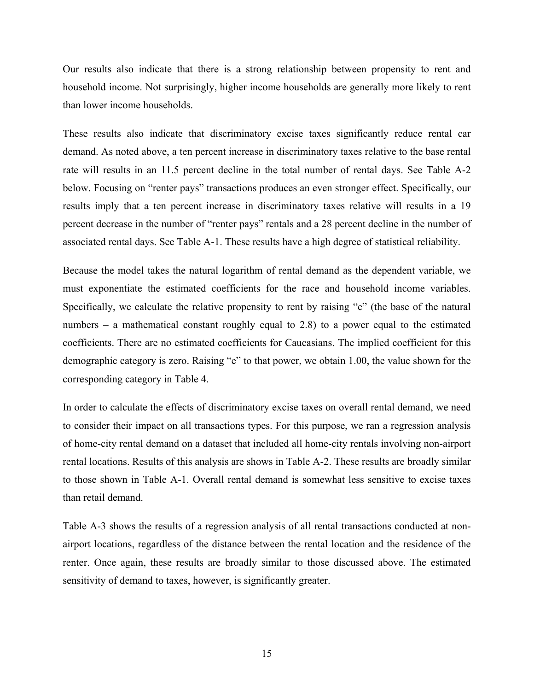Our results also indicate that there is a strong relationship between propensity to rent and household income. Not surprisingly, higher income households are generally more likely to rent than lower income households.

These results also indicate that discriminatory excise taxes significantly reduce rental car demand. As noted above, a ten percent increase in discriminatory taxes relative to the base rental rate will results in an 11.5 percent decline in the total number of rental days. See Table A-2 below. Focusing on "renter pays" transactions produces an even stronger effect. Specifically, our results imply that a ten percent increase in discriminatory taxes relative will results in a 19 percent decrease in the number of "renter pays" rentals and a 28 percent decline in the number of associated rental days. See Table A-1. These results have a high degree of statistical reliability.

Because the model takes the natural logarithm of rental demand as the dependent variable, we must exponentiate the estimated coefficients for the race and household income variables. Specifically, we calculate the relative propensity to rent by raising "e" (the base of the natural numbers – a mathematical constant roughly equal to 2.8) to a power equal to the estimated coefficients. There are no estimated coefficients for Caucasians. The implied coefficient for this demographic category is zero. Raising "e" to that power, we obtain 1.00, the value shown for the corresponding category in Table 4.

In order to calculate the effects of discriminatory excise taxes on overall rental demand, we need to consider their impact on all transactions types. For this purpose, we ran a regression analysis of home-city rental demand on a dataset that included all home-city rentals involving non-airport rental locations. Results of this analysis are shows in Table A-2. These results are broadly similar to those shown in Table A-1. Overall rental demand is somewhat less sensitive to excise taxes than retail demand.

Table A-3 shows the results of a regression analysis of all rental transactions conducted at nonairport locations, regardless of the distance between the rental location and the residence of the renter. Once again, these results are broadly similar to those discussed above. The estimated sensitivity of demand to taxes, however, is significantly greater.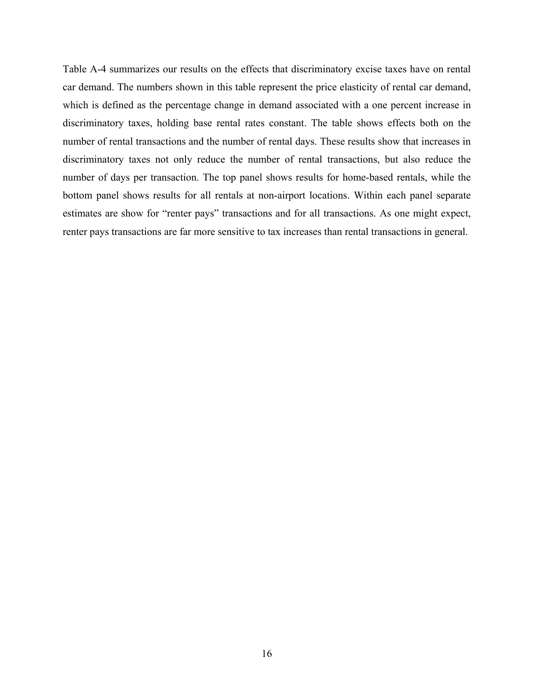Table A-4 summarizes our results on the effects that discriminatory excise taxes have on rental car demand. The numbers shown in this table represent the price elasticity of rental car demand, which is defined as the percentage change in demand associated with a one percent increase in discriminatory taxes, holding base rental rates constant. The table shows effects both on the number of rental transactions and the number of rental days. These results show that increases in discriminatory taxes not only reduce the number of rental transactions, but also reduce the number of days per transaction. The top panel shows results for home-based rentals, while the bottom panel shows results for all rentals at non-airport locations. Within each panel separate estimates are show for "renter pays" transactions and for all transactions. As one might expect, renter pays transactions are far more sensitive to tax increases than rental transactions in general.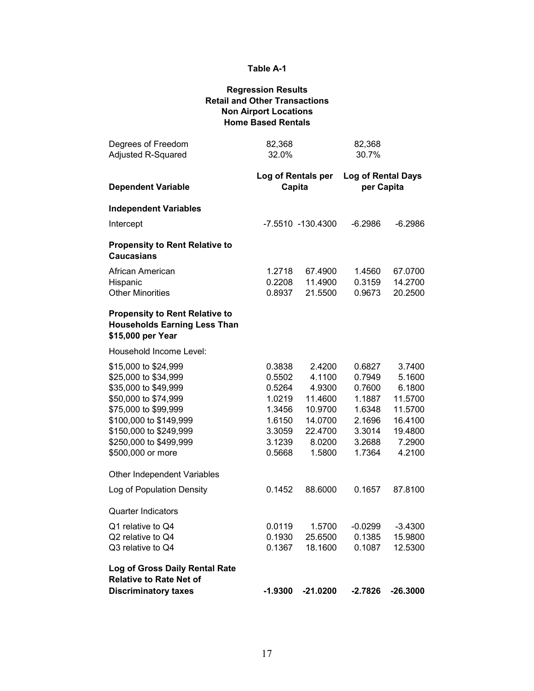## **Regression Results Retail and Other Transactions Non Airport Locations Home Based Rentals**

| Degrees of Freedom<br><b>Adjusted R-Squared</b>                                                   | 82,368<br>32.0%              |                   | 82,368<br>30.7%                         |                  |
|---------------------------------------------------------------------------------------------------|------------------------------|-------------------|-----------------------------------------|------------------|
| <b>Dependent Variable</b>                                                                         | Log of Rentals per<br>Capita |                   | <b>Log of Rental Days</b><br>per Capita |                  |
| <b>Independent Variables</b>                                                                      |                              |                   |                                         |                  |
| Intercept                                                                                         |                              | -7.5510 -130.4300 | $-6.2986$                               | $-6.2986$        |
| <b>Propensity to Rent Relative to</b><br>Caucasians                                               |                              |                   |                                         |                  |
| African American                                                                                  | 1.2718                       | 67.4900           | 1.4560                                  | 67.0700          |
| Hispanic                                                                                          | 0.2208                       | 11.4900           | 0.3159                                  | 14.2700          |
| <b>Other Minorities</b>                                                                           | 0.8937                       | 21.5500           | 0.9673                                  | 20.2500          |
| <b>Propensity to Rent Relative to</b><br><b>Households Earning Less Than</b><br>\$15,000 per Year |                              |                   |                                         |                  |
| Household Income Level:                                                                           |                              |                   |                                         |                  |
| \$15,000 to \$24,999                                                                              | 0.3838                       | 2.4200            | 0.6827                                  | 3.7400           |
| \$25,000 to \$34,999                                                                              | 0.5502                       | 4.1100            | 0.7949                                  | 5.1600           |
| \$35,000 to \$49,999                                                                              | 0.5264                       | 4.9300            | 0.7600                                  | 6.1800           |
| \$50,000 to \$74,999                                                                              | 1.0219                       | 11.4600           | 1.1887                                  | 11.5700          |
| \$75,000 to \$99,999                                                                              | 1.3456                       | 10.9700           | 1.6348                                  | 11.5700          |
| \$100,000 to \$149,999                                                                            | 1.6150                       | 14.0700           | 2.1696                                  | 16.4100          |
| \$150,000 to \$249,999                                                                            | 3.3059                       | 22.4700           | 3.3014                                  | 19.4800          |
| \$250,000 to \$499,999                                                                            | 3.1239                       | 8.0200            | 3.2688<br>1.7364                        | 7.2900<br>4.2100 |
| \$500,000 or more                                                                                 | 0.5668                       | 1.5800            |                                         |                  |
| Other Independent Variables                                                                       |                              |                   |                                         |                  |
| Log of Population Density                                                                         | 0.1452                       | 88.6000           | 0.1657                                  | 87.8100          |
| Quarter Indicators                                                                                |                              |                   |                                         |                  |
| Q1 relative to Q4                                                                                 | 0.0119                       | 1.5700            | $-0.0299$                               | $-3.4300$        |
| Q2 relative to Q4                                                                                 | 0.1930                       | 25.6500           | 0.1385                                  | 15.9800          |
| Q3 relative to Q4                                                                                 | 0.1367                       | 18.1600           | 0.1087                                  | 12.5300          |
| Log of Gross Daily Rental Rate<br><b>Relative to Rate Net of</b>                                  |                              |                   |                                         |                  |
| <b>Discriminatory taxes</b>                                                                       | -1.9300                      | $-21.0200$        | $-2.7826$                               | $-26.3000$       |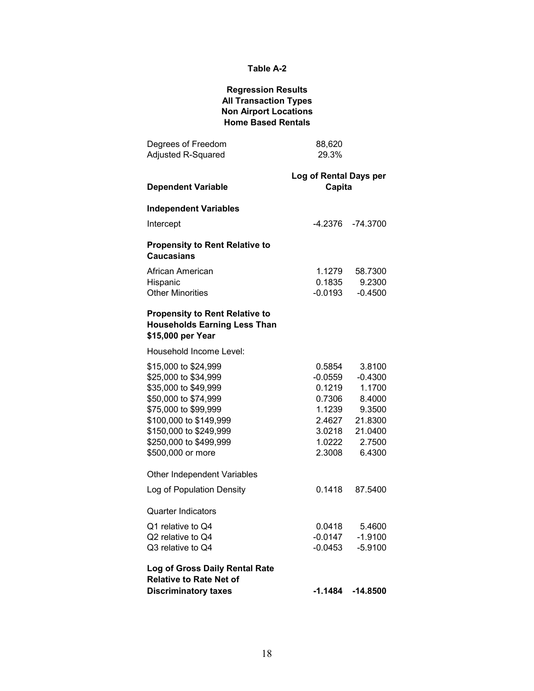## **Regression Results All Transaction Types Non Airport Locations Home Based Rentals**

| Degrees of Freedom<br>Adjusted R-Squared                                                                                                                                                                                | 88,620<br>29.3%                                                                         |                                                                                             |
|-------------------------------------------------------------------------------------------------------------------------------------------------------------------------------------------------------------------------|-----------------------------------------------------------------------------------------|---------------------------------------------------------------------------------------------|
| <b>Dependent Variable</b>                                                                                                                                                                                               | Log of Rental Days per<br>Capita                                                        |                                                                                             |
| <b>Independent Variables</b>                                                                                                                                                                                            |                                                                                         |                                                                                             |
| Intercept                                                                                                                                                                                                               |                                                                                         | -4.2376 -74.3700                                                                            |
| <b>Propensity to Rent Relative to</b><br><b>Caucasians</b>                                                                                                                                                              |                                                                                         |                                                                                             |
| African American                                                                                                                                                                                                        | 1.1279                                                                                  | 58.7300                                                                                     |
| Hispanic<br><b>Other Minorities</b>                                                                                                                                                                                     | 0.1835<br>-0.0193                                                                       | 9.2300<br>$-0.4500$                                                                         |
| <b>Propensity to Rent Relative to</b><br><b>Households Earning Less Than</b><br>\$15,000 per Year                                                                                                                       |                                                                                         |                                                                                             |
| Household Income Level:                                                                                                                                                                                                 |                                                                                         |                                                                                             |
| \$15,000 to \$24,999<br>\$25,000 to \$34,999<br>\$35,000 to \$49,999<br>\$50,000 to \$74,999<br>\$75,000 to \$99,999<br>\$100,000 to \$149,999<br>\$150,000 to \$249,999<br>\$250,000 to \$499,999<br>\$500,000 or more | 0.5854<br>-0.0559<br>0.1219<br>0.7306<br>1.1239<br>2.4627<br>3.0218<br>1.0222<br>2.3008 | 3.8100<br>$-0.4300$<br>1.1700<br>8.4000<br>9.3500<br>21.8300<br>21.0400<br>2.7500<br>6.4300 |
| Other Independent Variables                                                                                                                                                                                             |                                                                                         |                                                                                             |
| Log of Population Density                                                                                                                                                                                               | 0.1418                                                                                  | 87.5400                                                                                     |
| <b>Quarter Indicators</b>                                                                                                                                                                                               |                                                                                         |                                                                                             |
| Q1 relative to Q4                                                                                                                                                                                                       |                                                                                         | 0.0418 5.4600                                                                               |
| Q2 relative to Q4<br>Q3 relative to Q4                                                                                                                                                                                  | $-0.0147$<br>$-0.0453$                                                                  | $-1.9100$<br>$-5.9100$                                                                      |
| Log of Gross Daily Rental Rate<br><b>Relative to Rate Net of</b><br><b>Discriminatory taxes</b>                                                                                                                         |                                                                                         | $-1.1484$ $-14.8500$                                                                        |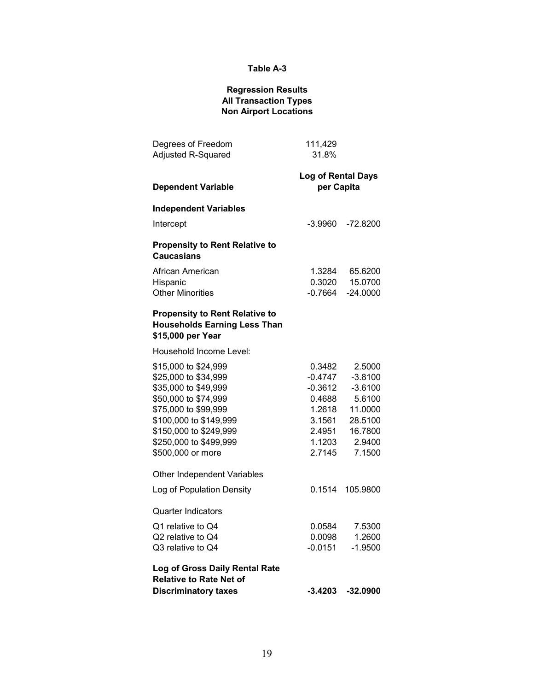### **Regression Results All Transaction Types Non Airport Locations**

| Degrees of Freedom<br>Adjusted R-Squared                                                                                                                                                                                | 111,429<br>31.8%                                                                         |                                                                                                 |
|-------------------------------------------------------------------------------------------------------------------------------------------------------------------------------------------------------------------------|------------------------------------------------------------------------------------------|-------------------------------------------------------------------------------------------------|
| <b>Dependent Variable</b>                                                                                                                                                                                               | <b>Log of Rental Days</b><br>per Capita                                                  |                                                                                                 |
| <b>Independent Variables</b>                                                                                                                                                                                            |                                                                                          |                                                                                                 |
| Intercept                                                                                                                                                                                                               | -3.9960                                                                                  | $-72.8200$                                                                                      |
| <b>Propensity to Rent Relative to</b><br><b>Caucasians</b>                                                                                                                                                              |                                                                                          |                                                                                                 |
| African American                                                                                                                                                                                                        | 1.3284                                                                                   | 65.6200                                                                                         |
| Hispanic<br><b>Other Minorities</b>                                                                                                                                                                                     | 0.3020<br>$-0.7664$                                                                      | 15.0700<br>$-24.0000$                                                                           |
| <b>Propensity to Rent Relative to</b><br><b>Households Earning Less Than</b><br>\$15,000 per Year                                                                                                                       |                                                                                          |                                                                                                 |
| Household Income Level:                                                                                                                                                                                                 |                                                                                          |                                                                                                 |
| \$15,000 to \$24,999<br>\$25,000 to \$34,999<br>\$35,000 to \$49,999<br>\$50,000 to \$74,999<br>\$75,000 to \$99,999<br>\$100,000 to \$149,999<br>\$150,000 to \$249,999<br>\$250,000 to \$499,999<br>\$500,000 or more | 0.3482<br>-0.4747<br>-0.3612<br>0.4688<br>1.2618<br>3.1561<br>2.4951<br>1.1203<br>2.7145 | 2.5000<br>$-3.8100$<br>$-3.6100$<br>5.6100<br>11.0000<br>28.5100<br>16.7800<br>2.9400<br>7.1500 |
| Other Independent Variables                                                                                                                                                                                             |                                                                                          |                                                                                                 |
| Log of Population Density                                                                                                                                                                                               | 0.1514                                                                                   | 105.9800                                                                                        |
| <b>Quarter Indicators</b>                                                                                                                                                                                               |                                                                                          |                                                                                                 |
| Q1 relative to Q4                                                                                                                                                                                                       | 0.0584                                                                                   | 7.5300                                                                                          |
| Q2 relative to Q4                                                                                                                                                                                                       | 0.0098                                                                                   | 1.2600                                                                                          |
| Q3 relative to Q4<br>Log of Gross Daily Rental Rate<br><b>Relative to Rate Net of</b>                                                                                                                                   | $-0.0151$                                                                                | $-1.9500$                                                                                       |
| <b>Discriminatory taxes</b>                                                                                                                                                                                             | $-3.4203$                                                                                | $-32.0900$                                                                                      |